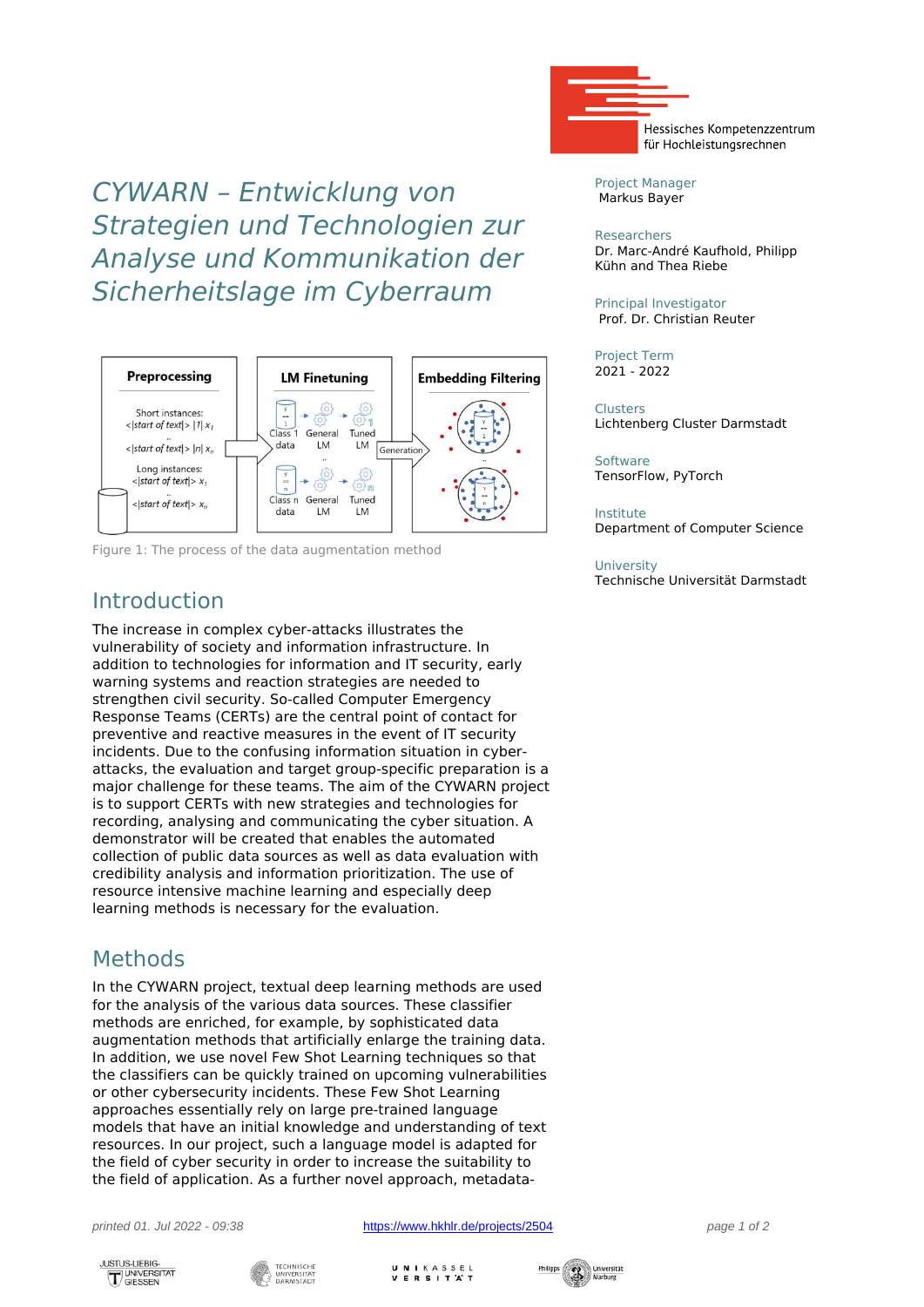*CYWARN – Entwicklung von Strategien und Technologien zur Analyse und Kommunikation der Sicherheitslage im Cyberraum*



Figure 1: The process of the data augmentation method

## Introduction

The increase in complex cyber-attacks illustrates the vulnerability of society and information infrastructure. In addition to technologies for information and IT security, early warning systems and reaction strategies are needed to strengthen civil security. So-called Computer Emergency Response Teams (CERTs) are the central point of contact for preventive and reactive measures in the event of IT security incidents. Due to the confusing information situation in cyberattacks, the evaluation and target group-specific preparation is a major challenge for these teams. The aim of the CYWARN project is to support CERTs with new strategies and technologies for recording, analysing and communicating the cyber situation. A demonstrator will be created that enables the automated collection of public data sources as well as data evaluation with credibility analysis and information prioritization. The use of resource intensive machine learning and especially deep learning methods is necessary for the evaluation.

# Methods

In the CYWARN project, textual deep learning methods are used for the analysis of the various data sources. These classifier methods are enriched, for example, by sophisticated data augmentation methods that artificially enlarge the training data. In addition, we use novel Few Shot Learning techniques so that the classifiers can be quickly trained on upcoming vulnerabilities or other cybersecurity incidents. These Few Shot Learning approaches essentially rely on large pre-trained language models that have an initial knowledge and understanding of text resources. In our project, such a language model is adapted for the field of cyber security in order to increase the suitability to the field of application. As a further novel approach, metadata-

printed 01. Jul 2022 - 09:38 <https://www.hkhlr.de/projects/2504> page 1 of 2

UNIKASSEL **VERSITAT** 



Project Manager Markus Bayer

#### Researchers

Dr. Marc-André Kaufhold, Philipp Kühn and Thea Riebe

Principal Investigator Prof. Dr. Christian Reuter

Project Term 2021 - 2022

**Clusters** Lichtenberg Cluster Darmstadt

**Software** TensorFlow, PyTorch

### Institute

Department of Computer Science

### **University**

Technische Universität Darmstadt